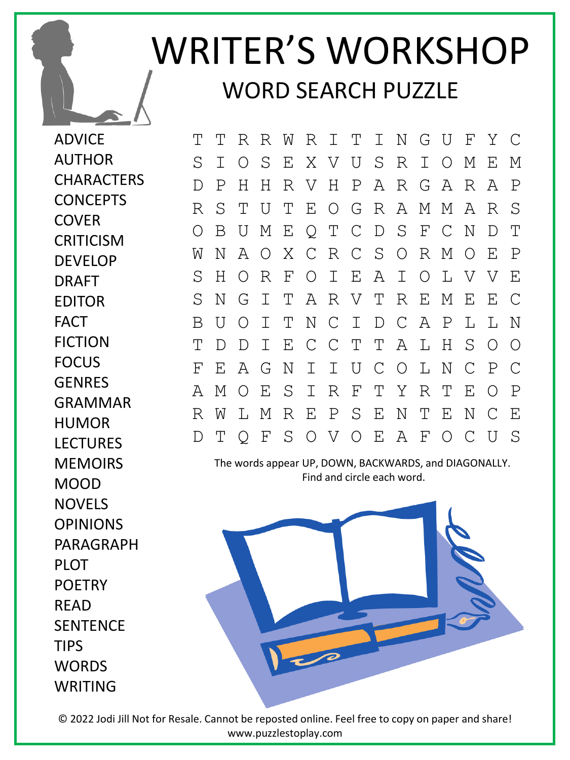## WRITER'S WORKSHOP WORD SEARCH PUZZLE

ADVICE AUTHOR **CHARACTERS CONCEPTS COVER CRITICISM** DEVELOP DRAFT EDITOR FACT FICTION FOCUS GENRES GRAMMAR HUMOR LECTURES **MEMOIRS** MOOD NOVELS OPINIONS PARAGRAPH PLOT **POFTRY** READ **SENTENCE** TIPS **WORDS** WRITING

T T R R W R I T I N G U F Y C S I O S E X V U S R I O M E M D P H H R V H P A R G A R A P R S T U T E O G R A M M A R S O B U M E Q T C D S F C N D T W N A O X C R C S O R M O E P S H O R F O I E A I O L V V E S N G I T A R V T R E M E E C B U O I T N C I D C A P L L N T D D I E C C T T A L H S O O F E A G N I I U C O L N C P C A M O E S I R F T Y R T E O P R W L M R E P S E N T E N C E D T Q F S O V O E A F O C U S

The words appear UP, DOWN, BACKWARDS, and DIAGONALLY. Find and circle each word.



© 2022 Jodi Jill Not for Resale. Cannot be reposted online. Feel free to copy on paper and share! www.puzzlestoplay.com